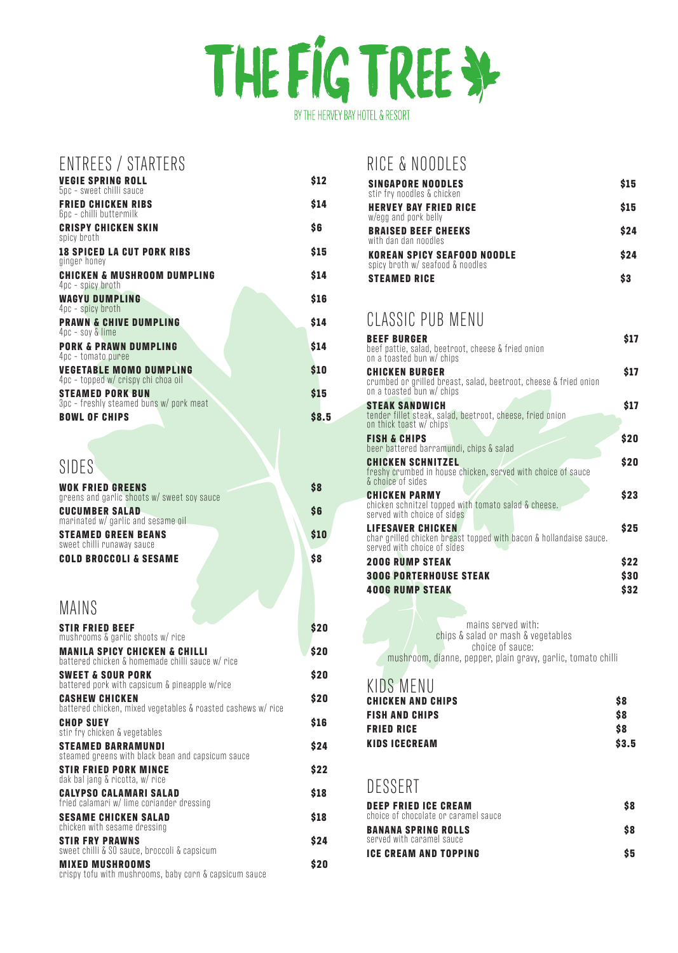## THE FIG TREE SP BY THE HERVEY BAY HOTEL & RESORT

| ENTREES / STARTERS                                              |             |
|-----------------------------------------------------------------|-------------|
| <b>VEGIE SPRING ROLL</b><br>5pc - sweet chilli sauce            | \$12        |
| <b>FRIED CHICKEN RIBS</b><br>6pc - chilli buttermilk            | \$14        |
| <b>CRISPY CHICKEN SKIN</b><br>spicy broth                       | \$6         |
| <b>18 SPICED LA CUT PORK RIBS</b><br>ginger honey               | \$15        |
| <b>CHICKEN &amp; MUSHROOM DUMPLING</b>                          | \$14        |
| 4pc - spicy broth<br><b>WAGYU DUMPLING</b>                      | \$16        |
| 4pc - spicy broth<br><b>PRAWN &amp; CHIVE DUMPLING</b>          | \$14        |
| $4pc - soy$ & lime<br><b>PORK &amp; PRAWN DUMPLING</b>          | \$14        |
| 4pc - tomato puree<br><b>VEGETABLE MOMO DUMPLING</b>            | \$10        |
| 4pc - topped w/ crispy chi choa oil<br><b>STEAMED PORK BUN</b>  | \$15        |
| 3pc - freshly steamed buns w/ pork meat<br><b>BOWL OF CHIPS</b> | <b>S8.5</b> |
|                                                                 |             |

**CHICKEN AND CHIPS \$8** KIDS MENU

| SIDES'                                                                                       |      |
|----------------------------------------------------------------------------------------------|------|
| <b>WOK FRIED GREENS</b><br>greens and garlic shoots w/ sweet soy sauce                       | \$8  |
| <b>CUCUMBER SALAD</b><br>marinated w/ garlic and sesame oil                                  | \$6  |
| <b>STEAMED GREEN BEANS</b>                                                                   | \$10 |
| sweet chilli runaway sauce<br><b>COLD BROCCOLI &amp; SESAME</b>                              | \$8  |
|                                                                                              |      |
| MAINS                                                                                        |      |
| <b>STIR FRIED BEEF</b><br>mushrooms & garlic shoots w/ rice                                  | \$20 |
| <b>MANILA SPICY CHICKEN &amp; CHILLI</b><br>battered chicken & homemade chilli sauce w/ rice | \$20 |
| <b>SWEET &amp; SOUR PORK</b><br>battered pork with capsicum & pineapple w/rice               | \$20 |
| <b>CASHEW CHICKEN</b>                                                                        | \$20 |

|  |  |  |  | battered chicken, mixed vegetables & roasted cashews w/ rice |  |
|--|--|--|--|--------------------------------------------------------------|--|

| <b>CHOP SUEY</b><br>stir fry chicken & vegetables                                | \$16 |
|----------------------------------------------------------------------------------|------|
| <b>STEAMED BARRAMUNDI</b><br>steamed greens with black bean and capsicum sauce   | \$24 |
| <b>STIR FRIED PORK MINCE</b><br>dak bal jang & ricotta, w/ rice                  | \$22 |
| <b>CALYPSO CALAMARI SALAD</b><br>fried calamari w/ lime coriander dressing       | \$18 |
| <b>SESAME CHICKEN SALAD</b><br>chicken with sesame dressing                      | \$18 |
| <b>STIR FRY PRAWNS</b><br>sweet chilli & SO sauce, broccoli & capsicum           | \$24 |
| <b>MIXED MUSHROOMS</b><br>crispy tofu with mushrooms, baby corn & capsicum sauce | \$20 |

| <b>FISH AND CHIPS</b>                                               | S8    |  |
|---------------------------------------------------------------------|-------|--|
| <b>FRIED RICE</b>                                                   | \$8   |  |
| <b>KIDS ICECREAM</b>                                                | \$3.5 |  |
|                                                                     |       |  |
| DESSERT                                                             |       |  |
|                                                                     |       |  |
| <b>DEEP FRIED ICE CREAM</b><br>choice of chocolate or caramel sauce | \$8   |  |
| <b>BANANA SPRING ROLLS</b><br>served with caramel sauce             | \$8   |  |
| <b>ICE CREAM AND TOPPING</b>                                        | \$5   |  |
|                                                                     |       |  |

| <b>BEEF BURGER</b><br>beef pattie, salad, beetroot, cheese & fried onion<br>on a toasted bun w/ chips                         | \$17       |
|-------------------------------------------------------------------------------------------------------------------------------|------------|
| <b>CHICKEN BURGER</b><br>crumbed or grilled breast, salad, beetroot, cheese & fried onion<br>on a toasted bun w/ chips        | \$17       |
| <b>STEAK SANDWICH</b><br>tender fillet steak, salad, beetroot, cheese, fried onion<br>on thick toast w/ chips                 | \$17       |
| <b>FISH &amp; CHIPS</b><br>beer battered barramundi, chips & salad                                                            | \$20       |
| <b>CHICKEN SCHNITZEL</b><br>freshy crumbed in house chicken, served with choice of sauce<br>& choice of sides                 | \$20       |
| <b>CHICKEN PARMY</b><br>chicken schnitzel topped with tomato salad & cheese.<br>served with choice of sides                   | \$23       |
| <b>LIFESAVER CHICKEN</b><br>char grilled chicken breast topped with bacon & hollandaise sauce.<br>served with choice of sides | \$25       |
| <b>200G RUMP STEAK</b>                                                                                                        | <b>S22</b> |
| <b>300G PORTERHOUSE STEAK</b>                                                                                                 | \$30       |
| <b>400G RUMP STEAK</b>                                                                                                        | \$32       |

mains served with: chips & salad or mash & vegetables choice of sauce: mushroom, dianne, pepper, plain gravy, garlic, tomato chilli

## CLASSIC PUB MENU

## RICE & NOODLES

| <b>SINGAPORE NOODLES</b><br>stir fry noodles & chicken                 | \$15 |
|------------------------------------------------------------------------|------|
| <b>HERVEY BAY FRIED RICE</b><br>w/egg and pork belly                   | \$15 |
| <b>BRAISED BEEF CHEEKS</b><br>with dan dan noodles                     | \$24 |
| <b>KOREAN SPICY SEAFOOD NOODLE</b><br>spicy broth w/ seafood & noodles | \$24 |
| <b>STEAMED RICE</b>                                                    |      |